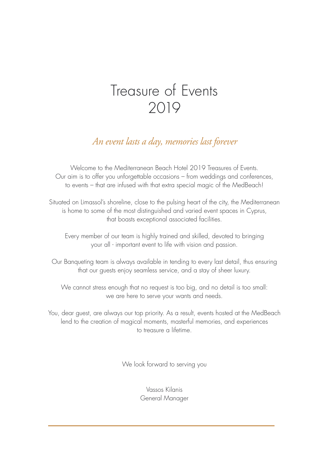# Treasure of Events 2019

# *An event lasts a day, memories last forever*

Welcome to the Mediterranean Beach Hotel 2019 Treasures of Events. Our aim is to offer you unforgettable occasions – from weddings and conferences, to events – that are infused with that extra special magic of the MedBeach!

Situated on Limassol's shoreline, close to the pulsing heart of the city, the Mediterranean is home to some of the most distinguished and varied event spaces in Cyprus, that boasts exceptional associated facilities.

Every member of our team is highly trained and skilled, devoted to bringing your all - important event to life with vision and passion.

Our Banqueting team is always available in tending to every last detail, thus ensuring that our guests enjoy seamless service, and a stay of sheer luxury.

We cannot stress enough that no request is too big, and no detail is too small: we are here to serve your wants and needs.

You, dear guest, are always our top priority. As a result, events hosted at the MedBeach lend to the creation of magical moments, masterful memories, and experiences to treasure a lifetime.

We look forward to serving you

Vassos Kilanis General Manager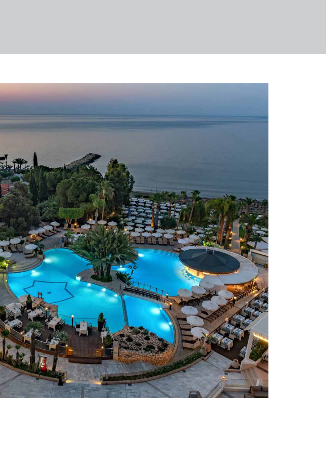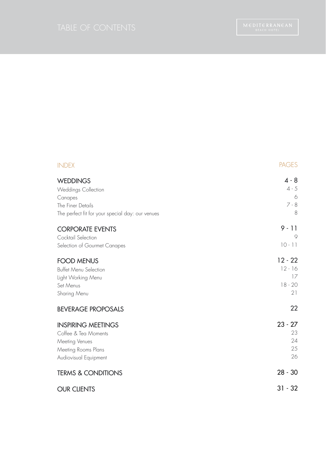| <b>INDEX</b>                                     | <b>PAGES</b> |
|--------------------------------------------------|--------------|
| <b>WEDDINGS</b>                                  | $4 - 8$      |
| <b>Weddings Collection</b>                       | $4 - 5$      |
| Canapes                                          | 6            |
| The Finer Details                                | $7 - 8$      |
| The perfect fit for your special day: our venues | 8            |
| <b>CORPORATE EVENTS</b>                          | $9 - 11$     |
| Cocktail Selection                               | 9            |
| Selection of Gourmet Canapes                     | $10 - 11$    |
| <b>FOOD MENUS</b>                                | $12 - 22$    |
| <b>Buffet Menu Selection</b>                     | $12 - 16$    |
| Light Working Menu                               | 17           |
| Set Menus                                        | $18 - 20$    |
| Sharing Menu                                     | 21           |
| <b>BEVERAGE PROPOSALS</b>                        | 22           |
| <b>INSPIRING MEETINGS</b>                        | $23 - 27$    |
| Coffee & Tea Moments                             | 23           |
| Meeting Venues                                   | 24           |
| Meeting Rooms Plans                              | 25           |
| Audiovisual Equipment                            | 26           |
| <b>TERMS &amp; CONDITIONS</b>                    | $28 - 30$    |
| <b>OUR CLIENTS</b>                               | $31 - 32$    |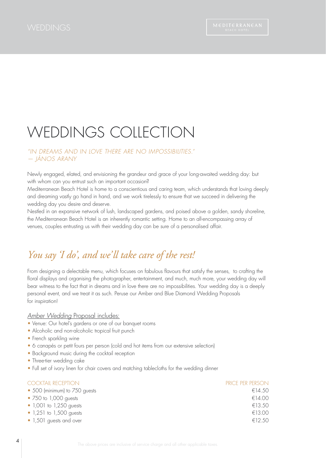# WEDDINGS COLLECTION

#### *"IN DREAMS AND IN LOVE THERE ARE NO IMPOSSIBILITIES." — JÁNOS ARANY*

Newly engaged, elated, and envisioning the grandeur and grace of your long-awaited wedding day: but with whom can you entrust such an important occasion?

Mediterranean Beach Hotel is home to a conscientious and caring team, which understands that loving deeply and dreaming vastly go hand in hand, and we work tirelessly to ensure that we succeed in delivering the wedding day you desire and deserve.

Nestled in an expansive network of lush, landscaped gardens, and poised above a golden, sandy shoreline, the Mediterranean Beach Hotel is an inherently romantic setting. Home to an all-encompassing array of venues, couples entrusting us with their wedding day can be sure of a personalised affair.

# *You say 'I do', and we'll take care of the rest!*

From designing a delectable menu, which focuses on fabulous flavours that satisfy the senses, to crafting the floral displays and organising the photographer, entertainment, and much, much more, your wedding day will bear witness to the fact that in dreams and in love there are no impossibilities. Your wedding day is a deeply personal event, and we treat it as such. Peruse our Amber and Blue Diamond Wedding Proposals for inspiration!

#### *Amber Wedding* Proposal includes:

- Venue: Our hotel's gardens or one of our banquet rooms
- Alcoholic and non-alcoholic tropical fruit punch
- French sparkling wine
- 6 canapés or petit fours per person (cold and hot items from our extensive selection)
- Background music during the cocktail reception
- Three-tier wedding cake
- Full set of ivory linen for chair covers and matching tablecloths for the wedding dinner

| <b>COCKTAIL RECEPTION</b>       | <b>PRICE PER PERSON</b> |
|---------------------------------|-------------------------|
| • 500 (minimum) to 750 guests   | €14.50                  |
| • 750 to 1,000 guests           | €14.00                  |
| $\bullet$ 1,001 to 1,250 guests | €13.50                  |
| • 1,251 to 1,500 guests         | €13.0C                  |
| • 1,501 guests and over         | €12.50                  |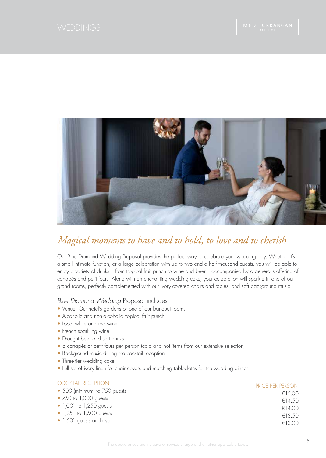

# *Magical moments to have and to hold, to love and to cherish*

Our Blue Diamond Wedding Proposal provides the perfect way to celebrate your wedding day. Whether it's a small intimate function, or a large celebration with up to two and a half thousand guests, you will be able to enjoy a variety of drinks – from tropical fruit punch to wine and beer – accompanied by a generous offering of canapés and petit fours. Along with an enchanting wedding cake, your celebration will sparkle in one of our grand rooms, perfectly complemented with our ivory-covered chairs and tables, and soft background music.

#### *Blue Diamond Wedding* Proposal includes:

- Venue: Our hotel's gardens or one of our banquet rooms
- Alcoholic and non-alcoholic tropical fruit punch
- Local white and red wine
- French sparkling wine
- Draught beer and soft drinks
- 8 canapés or petit fours per person (cold and hot items from our extensive selection)
- Background music during the cocktail reception
- Three-tier wedding cake
- Full set of ivory linen for chair covers and matching tablecloths for the wedding dinner

| COCKTAIL RECEPTION              | <b>PRICE PER PERSON</b> |
|---------------------------------|-------------------------|
| • 500 (minimum) to 750 guests   | €15.00                  |
| $\bullet$ 750 to 1,000 guests   | €14.50                  |
| $\bullet$ 1,001 to 1,250 guests | €14.00                  |
| • 1,251 to 1,500 guests         |                         |
| • 1,501 guests and over         | €13.50                  |
|                                 | €13.00                  |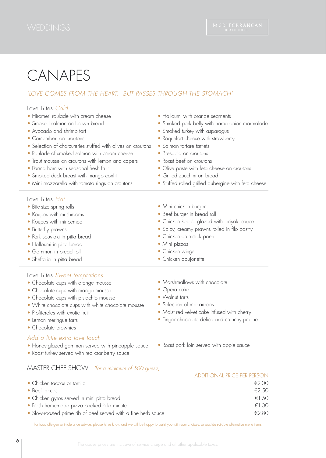# CANAPES

# *'LOVE COMES FROM THE HEART, BUT PASSES THROUGH THE STOMACH'*

### Love Bites *Cold*

- Hiromeri roulade with cream cheese
- Smoked salmon on brown bread
- Avocado and shrimp tart
- Camembert on croutons
- Selection of charcuteries stuffed with olives on croutons
- Roulade of smoked salmon with cream cheese
- Trout mousse on croutons with lemon and capers
- Parma ham with seasonal fresh fruit
- Smoked duck breast with mango confit
- Mini mozzarella with tomato rings on croutons

#### Love Bites *Hot*

- Bite-size spring rolls
- Koupes with mushrooms
- Koupes with mincemeat
- Butterfly prawns
- Pork souvlaki in pitta bread
- Halloumi in pitta bread
- Gammon in bread roll
- Sheftalia in pitta bread

#### Love Bites *Sweet temptations*

- Chocolate cups with orange mousse
- Chocolate cups with mango mousse
- Chocolate cups with pistachio mousse
- White chocolate cups with white chocolate mousse
- Profiteroles with exotic fruit
- Lemon meringue tarts
- Chocolate brownies

#### *Add a little extra love touch*

- Honey-glazed gammon served with pineapple sauce
- Roast turkey served with red cranberry sauce

### MASTER CHEF SHOW *(for a minimum of 500 guests)*

• Chicken taccos or tortilla • Beef taccos • Chicken gyros served in mini pitta bread • Fresh homemade pizza cooked à la minute • Slow-roasted prime rib of beef served with a fine herb sauce ADDITIONAL PRICE PER PERSON €2.00 €2.50 €1.50 €1.00 €2.80

For food allergen or intolerance advice, please let us know and we will be happy to assist you with your choices, or provide suitable alternative menu items.

- Halloumi with orange segments
- Smoked pork belly with nama onion marmalade
- Smoked turkey with asparagus
- Roquefort cheese with strawberry
- Salmon tartare tartlets
- Bresaola on croutons
- Roast beef on croutons
- Olive paste with feta cheese on croutons
- Grilled zucchini on bread
- Stuffed rolled grilled aubergine with feta cheese
- Mini chicken burger
- Beef burger in bread roll
- Chicken kebab glazed with teriyaki sauce
- Spicy, creamy prawns rolled in filo pastry
- Chicken drumstick pane
- Mini pizzas
- Chicken wings
- Chicken goujonette
- Marshmallows with chocolate
- Opera cake
- Walnut tarts
- Selection of macaroons
- Moist red velvet cake infused with cherry

• Roast pork loin served with apple sauce

• Finger chocolate delice and crunchy praline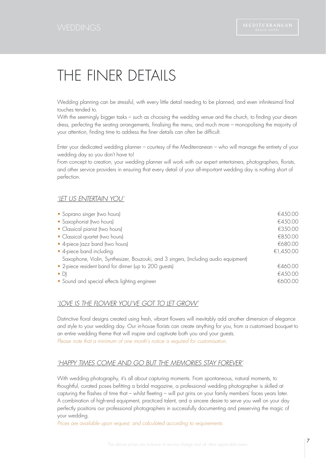# THE FINER DETAILS

Wedding planning can be stressful, with every little detail needing to be planned, and even infinitesimal final touches tended to.

With the seemingly bigger tasks – such as choosing the wedding venue and the church, to finding your dream dress, perfecting the seating arrangements, finalising the menu, and much more – monopolising the majority of your attention, finding time to address the finer details can often be difficult.

Enter your dedicated wedding planner – courtesy of the Mediterranean – who will manage the entirety of your wedding day so you don't have to!

From concept to creation, your wedding planner will work with our expert entertainers, photographers, florists, and other service providers in ensuring that every detail of your all-important wedding day is nothing short of perfection.

### *'LET US ENTERTAIN YOU'*

| • Soprano singer (two hours)                                                         | €450.00   |
|--------------------------------------------------------------------------------------|-----------|
| • Saxophonist (two hours)                                                            | €450.00   |
| • Classical pianist (two hours)                                                      | €350.00   |
| • Classical quartet (two hours)                                                      | €850.00   |
| • 4-piece Jazz band (two hours)                                                      | €680.00   |
| • 4-piece band including:                                                            | €1,450.00 |
| Saxophone, Violin, Synthesizer, Bouzouki, and 3 singers, (including audio equipment) |           |
| • 2-piece resident band for dinner (up to 200 guests)                                | €460.00   |
| $\bullet$ DI                                                                         | €450.00   |
| • Sound and special effects lighting engineer                                        | €600.00   |

### *'LOVE IS THE FLOWER YOU'VE GOT TO LET GROW'*

Distinctive floral designs created using fresh, vibrant flowers will inevitably add another dimension of elegance and style to your wedding day. Our in-house florists can create anything for you, from a customised bouquet to an entire wedding theme that will inspire and captivate both you and your guests. *Please note that a minimum of one month's notice is required for customisation.*

### *'HAPPY TIMES COME AND GO BUT THE MEMORIES STAY FOREVER'*

With wedding photography, it's all about capturing moments. From spontaneous, natural moments, to thoughtful, curated poses befitting a bridal magazine, a professional wedding photographer is skilled at capturing the flashes of time that – whilst fleeting – will put grins on your family members' faces years later. A combination of high-end equipment, practiced talent, and a sincere desire to serve you well on your day perfectly positions our professional photographers in successfully documenting and preserving the magic of your wedding.

*Prices are available upon request, and calculated according to requirements.*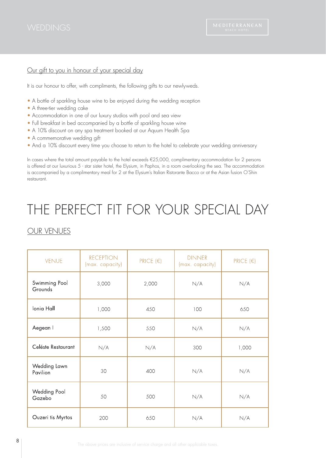### Our gift to you in honour of your special day

It is our honour to offer, with compliments, the following gifts to our newlyweds.

- A bottle of sparkling house wine to be enjoyed during the wedding reception
- A three-tier wedding cake
- Accommodation in one of our luxury studios with pool and sea view
- Full breakfast in bed accompanied by a bottle of sparkling house wine
- A 10% discount on any spa treatment booked at our Aquum Health Spa
- A commemorative wedding gift
- And a 10% discount every time you choose to return to the hotel to celebrate your wedding anniversary

In cases where the total amount payable to the hotel exceeds €25,000, complimentary accommodation for 2 persons is offered at our luxurious 5 - star sister hotel, the Elysium, in Paphos, in a room overlooking the sea. The accommodation is accompanied by a complimentary meal for 2 at the Elysium's Italian Ristorante Bacco or at the Asian fusion O'Shin restaurant.

# THE PERFECT FIT FOR YOUR SPECIAL DAY

# OUR VENUES

| <b>VENUE</b>                  | <b>RECEPTION</b><br>(max. capacity) | $PRICE$ ( $\varepsilon$ ) | <b>DINNER</b><br>(max. capacity) | $PRICE$ ( $\varepsilon$ ) |
|-------------------------------|-------------------------------------|---------------------------|----------------------------------|---------------------------|
| Swimming Pool<br>Grounds      | 3,000                               | 2,000                     | N/A                              | N/A                       |
| <b>Ionia Hall</b>             | 1,000                               | 450                       | 100                              | 650                       |
| Aegean I                      | 1,500                               | 550                       | N/A                              | N/A                       |
| Celéste Restaurant            | N/A                                 | N/A                       | 300                              | 1,000                     |
| Wedding Lawn<br>Pavilion      | 30                                  | 400                       | N/A                              | N/A                       |
| <b>Wedding Pool</b><br>Gazebo | 50                                  | 500                       | N/A                              | N/A                       |
| Ouzeri tis Myrtos             | 200                                 | 650                       | N/A                              | N/A                       |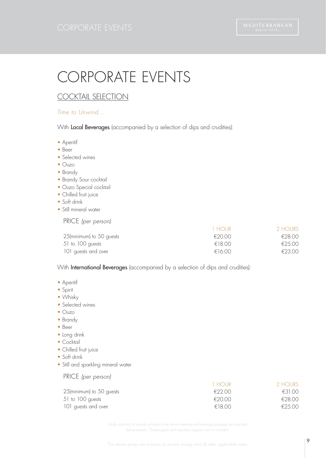# CORPORATE EVENTS

# COCKTAIL SELECTION

#### *Time to Unwind…*

With Local Beverages (accompanied by a selection of dips and crudities):

- Aperitif
- Beer
- Selected wines
- Ouzo
- Brandy
- Brandy Sour cocktail
- Ouzo Special cocktail
- Chilled fruit juice
- Soft drink
- Still mineral water

PRICE *(per person)*

| 1 HOUR  | 2 HOURS |
|---------|---------|
| f(2000) | €28.00  |
| £1800   | €25.00  |
| £1600   | €23.00  |
|         |         |

#### With International Beverages (accompanied by a selection of dips and crudities):

- Aperitif
- Spirit
- Whisky
- Selected wines
- Ouzo
- Brandy
- Beer
- Long drink
- Cocktail
- Chilled fruit juice
- Soft drink
- Still and sparkling mineral water

#### PRICE *(per person)*

|                             | $1$ Holir | 2 HOURS |
|-----------------------------|-----------|---------|
| $25$ (minimum) to 50 guests | f2200     | €31.00  |
| 51 to 100 guests            | €20.00    | €28.00  |
| 101 guests and over         | £1800     | €25.00  |

Kindly note that all brands included in the above international beverage package are imported deluxe brands. Champagnes and imported cognacs are not included.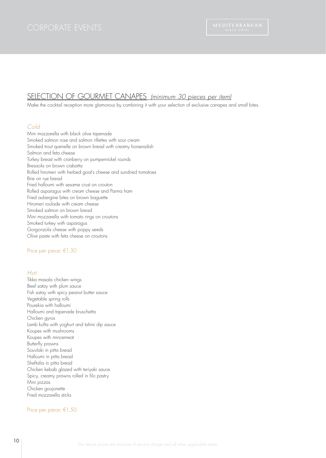## SELECTION OF GOURMET CANAPES *(minimum 30 pieces per item)*

Make the cocktail reception more glamorous by combining it with your selection of exclusive canapes and small bites.

#### *Cold*

Mini mozzarella with black olive tapenade Smoked salmon rose and salmon rillettes with sour cream Smoked trout quenelle on brown bread with creamy horseradish Salmon and feta cheese Turkey breast with cranberry on pumpernickel rounds Bresaola on brown ciabatta Rolled hiromeri with herbed goat's cheese and sundried tomatoes Brie on rye bread Fried halloumi with sesame crust on crouton Rolled asparagus with cream cheese and Parma ham Fried aubergine bites on brown baguette Hiromeri roulade with cream cheese Smoked salmon on brown bread Mini mozzarella with tomato rings on croutons Smoked turkey with asparagus Gorgonzola cheese with poppy seeds Olive paste with feta cheese on croutons

#### Price per piece: €1.30

#### *Hot*

Tikka masala chicken wings Beef satay with plum sauce Fish satay with spicy peanut butter sauce Vegetable spring rolls Pourekia with halloumi Halloumi and tapenade bruschetta Chicken gyros Lamb kofta with yoghurt and tahini dip sauce Koupes with mushrooms Koupes with mincemeat Butterfly prawns Souvlaki in pitta bread Halloumi in pitta bread Sheftalia in pitta bread Chicken kebab glazed with teriyaki sauce Spicy, creamy prawns rolled in filo pastry Mini pizzas Chicken goujonette Fried mozzarella sticks

#### Price per piece: €1.50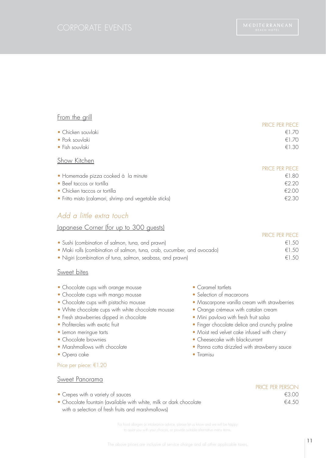### From the grill

|                                                        | PRICE PER PIECE |
|--------------------------------------------------------|-----------------|
| • Chicken souvlaki                                     | f(170)          |
| • Pork souvlaki                                        | €1.70           |
| • Fish souvlaki                                        | €1.30           |
| Show Kitchen                                           |                 |
|                                                        | PRICE PER PIECE |
| · Homemade pizza cooked à la minute                    | €1.80           |
| • Beef taccos or tortilla                              | €2.20           |
| • Chicken taccos or tortilla                           | €2.00           |
| • Fritto misto (calamari, shrimp and vegetable sticks) | €2.30           |

# *Add a little extra touch*

### Japanese Corner (for up to 300 guests)

|                                                                         | <b>PRICE PER PIECE</b> |
|-------------------------------------------------------------------------|------------------------|
| • Sushi (combination of salmon, tuna, and prawn)                        | $\epsilon$ 1.50        |
| • Maki rolls (combination of salmon, tuna, crab, cucumber, and avocado) | $\epsilon$ 1.50        |
| • Nigiri (combination of tuna, salmon, seabass, and prawn)              | $\epsilon$ 1.50        |

#### Sweet bites

- Chocolate cups with orange mousse
- Chocolate cups with mango mousse
- Chocolate cups with pistachio mousse
- White chocolate cups with white chocolate mousse
- Fresh strawberries dipped in chocolate
- Profiteroles with exotic fruit
- Lemon meringue tarts
- Chocolate brownies
- Marshmallows with chocolate
- Opera cake
- Price per piece: €1.20
- Caramel tartlets
- Selection of macaroons
- Mascarpone vanilla cream with strawberries
- Orange crémeux with catalan cream
- Mini pavlova with fresh fruit salsa
- Finger chocolate delice and crunchy praline
- Moist red velvet cake infused with cherry
- Cheesecake with blackcurrant
- Panna cotta drizzled with strawberry sauce
- Tiramisu

#### Sweet Panorama

|                                                                    | PRICE PER PERSON |
|--------------------------------------------------------------------|------------------|
| • Crepes with a variety of sauces                                  | €300             |
| • Chocolate fountain (available with white, milk or dark chocolate | €4.50            |
| with a selection of fresh fruits and marshmallows)                 |                  |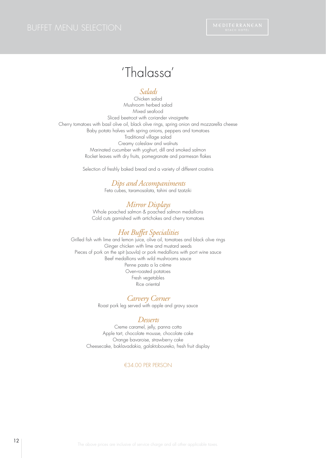# 'Thalassa'

# *Salads*

Chicken salad Mushroom herbed salad Mixed seafood Sliced beetroot with coriander vinaigrette Cherry tomatoes with basil olive oil, black olive rings, spring onion and mozzarella cheese Baby potato halves with spring onions, peppers and tomatoes Traditional village salad Creamy coleslaw and walnuts Marinated cucumber with yoghurt, dill and smoked salmon Rocket leaves with dry fruits, pomegranate and parmesan flakes

Selection of freshly baked bread and a variety of different crostinis

# *Dips and Accompaniments*

Feta cubes, taramosalata, tahini and tzatziki

# *Mirror Displays*

Whole poached salmon & poached salmon medallions Cold cuts garnished with artichokes and cherry tomatoes

# *Hot Buffet Specialities*

Grilled fish with lime and lemon juice, olive oil, tomatoes and black olive rings Ginger chicken with lime and mustard seeds Pieces of pork on the spit (souvla) or pork medallions with port wine sauce Beef medallions with wild mushrooms sauce Penne pasta a la crème Oven-roasted potatoes Fresh vegetables Rice oriental

## *Carvery Corner*

Roast pork leg served with apple and gravy sauce

#### *Desserts*

Creme caramel, jelly, panna cotta Apple tart, chocolate mousse, chocolate cake Orange bavaroise, strawberry cake Cheesecake, baklavadakia, galaktoboureko, fresh fruit display

#### €34.00 PER PERSON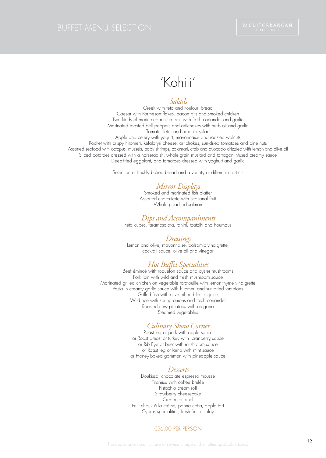# 'Kohili'

# *Salads*

Greek with feta and koulouri bread Caesar with Parmesan flakes, bacon bits and smoked chicken Two kinds of marinated mushrooms with fresh coriander and garlic Marinated roasted bell peppers and artichokes with herb oil and garlic Tomato, feta, and arugula salad Apple and celery with yogurt, mayonnaise and roasted walnuts Rocket with crispy hiromeri, kefalotyri cheese, artichokes, sun-dried tomatoes and pine nuts Assorted seafood with octopus, mussels, baby shrimps, calamari, crab and avocado drizzled with lemon and olive oil Sliced potatoes dressed with a horseradish, whole-grain mustard and tarragon-infused creamy sauce Deep-fried eggplant, and tomatoes dressed with yoghurt and garlic

Selection of freshly baked bread and a variety of different crostinis

# *Mirror Displays*

Smoked and marinated fish platter Assorted charcuterie with seasonal fruit Whole poached salmon

### *Dips and Accompaniments*

Feta cubes, taramosalata, tahini, tzatziki and houmous

#### *Dressings*

Lemon and olive, mayonnaise, balsamic vinaigrette, cocktail sauce, olive oil and vinegar

# *Hot Buffet Specialities*

Beef émincé with roquefort sauce and oyster mushrooms Pork loin with wild and fresh mushroom sauce Marinated grilled chicken on vegetable ratatouille with lemon-thyme vinaigrette Pasta in creamy garlic sauce with hiromeri and sun-dried tomatoes Grilled fish with olive oil and lemon juice Wild rice with spring onions and fresh coriander Roasted new potatoes with oregano Steamed vegetables

## *Culinary Show Corner*

Roast leg of pork with apple sauce or Roast breast of turkey with cranberry sauce or Rib Eye of beef with mushroom sauce or Roast leg of lamb with mint sauce or Honey-baked gammon with pineapple sauce

#### *Desserts*

Doukissa, chocolate espresso mousse Tiramisu with coffee brûlée Pistachio cream roll Strawberry cheesecake Cream caramel Petit choux à la crème, panna cotta, apple tart Cyprus specialities, fresh fruit display

#### €36.00 PER PERSON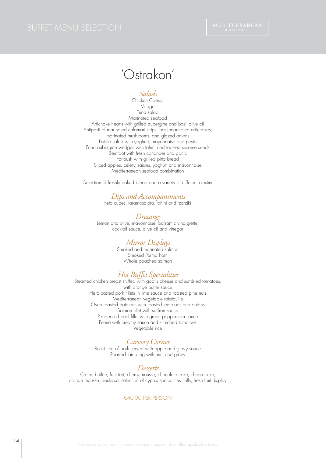# 'Ostrakon'

## *Salads*

Chicken Caesar Village Tuna salad Marinated seafood Artichoke hearts with grilled aubergine and basil olive oil Antipasti of marinated calamari strips, basil marinated artichokes, marinated mushrooms, and glazed onions Potato salad with yoghurt, mayonnaise and pesto Fried aubergine wedges with tahini and toasted sesame seeds Beetroot with fresh coriander and garlic Fattoush with grilled pitta bread Sliced apples, celery, raisins, yoghurt and mayonnaise Mediterranean seafood combination

Selection of freshly baked bread and a variety of different crostini

*Dips and Accompaniments* Feta cubes, taramosalata, tahini and tzatziki

*Dressings* Lemon and olive, mayonnaise, balsamic vinaigrette, cocktail sauce, olive oil and vinegar

### *Mirror Displays*

Smoked and marinated salmon Smoked Parma ham Whole poached salmon

### *Hot Buffet Specialities*

Steamed chicken breast stuffed with goat's cheese and sundried tomatoes, with orange butter sauce Herb-basted pork fillets in lime sauce and roasted pine nuts Mediterranean vegetable ratatouille Oven roasted potatoes with roasted tomatoes and onions Salmon fillet with saffron sauce Pan-seared beef fillet with green peppercorn sauce Penne with creamy sauce and sun-dried tomatoes Vegetable rice

#### *Carvery Corner*

Roast loin of pork served with apple and gravy sauce Roasted lamb leg with mint and gravy

#### *Desserts*

Crème brûlée, fruit tart, cherry mousse, chocolate cake, cheesecake, orange mousse, doukissa, selection of cyprus specialities, jelly, fresh fruit display

#### €40.00 PER PERSON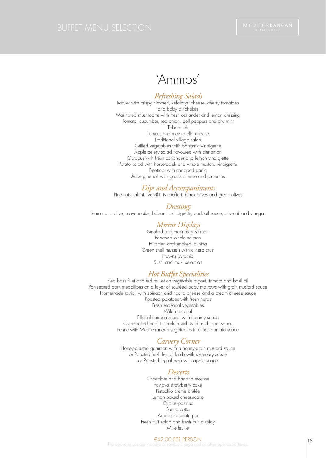# 'Ammos'

# *Refreshing Salads*

Rocket with crispy hiromeri, kefalotyri cheese, cherry tomatoes and baby artichokes Marinated mushrooms with fresh coriander and lemon dressing Tomato, cucumber, red onion, bell peppers and dry mint Tabbouleh Tomato and mozzarella cheese Traditional village salad Grilled vegetables with balsamic vinaigrette Apple celery salad flavoured with cinnamon Octopus with fresh coriander and lemon vinaigrette Potato salad with horseradish and whole mustard vinaigrette Beetroot with chopped garlic Aubergine roll with goat's cheese and pimentos

# *Dips and Accompaniments*

Pine nuts, tahini, tzatziki, tyrokafteri, black olives and green olives

*Dressings* Lemon and olive, mayonnaise, balsamic vinaigrette, cocktail sauce, olive oil and vinegar

## *Mirror Displays*

Smoked and marinated salmon Poached whole salmon Hiromeri and smoked lountza Green shell mussels with a herb crust Prawns pyramid Sushi and maki selection

# *Hot Buffet Specialities*

Sea bass fillet and red mullet on vegetable ragout, tomato and basil oil Pan-seared pork medallions on a layer of sautéed baby marrows with grain mustard sauce Homemade ravioli with spinach and ricotta cheese and a cream cheese sauce Roasted potatoes with fresh herbs Fresh seasonal vegetables Wild rice pilaf Fillet of chicken breast with creamy sauce Oven-baked beef tenderloin with wild mushroom sauce Penne with Mediterranean vegetables in a basil-tomato sauce

# *Carvery Corner*

Honey-glazed gammon with a honey-grain mustard sauce or Roasted fresh leg of lamb with rosemary sauce or Roasted leg of pork with apple sauce

#### *Desserts*

Chocolate and banana mousse Pavlova strawberry cake Pistachio crème brûlée Lemon baked cheesecake Cyprus pastries Panna cotta Apple chocolate pie Fresh fruit salad and fresh fruit display Mille-feuille

#### €42.00 PER PERSON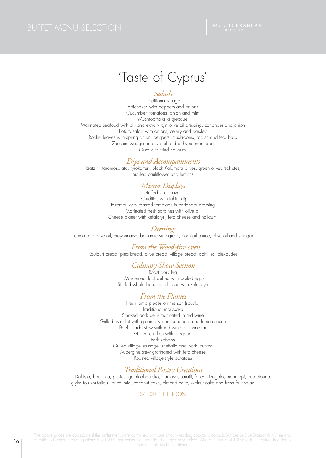# 'Taste of Cyprus'

### *Salads*

Traditional village Artichokes with peppers and onions Cucumber, tomatoes, onion and mint Mushrooms a la grecque Marinated seafood with dill and extra virgin olive oil dressing, coriander and onion Potato salad with onions, celery and parsley Rocket leaves with spring onion, peppers, mushrooms, radish and feta balls Zucchini wedges in olive oil and a thyme marinade Orzo with fried halloumi

### *Dips and Accompaniments*

Tzatziki, taramosalata, tyrokafteri, black Kalamata olives, green olives tsakistes, pickled cauliflower and lemons

### *Mirror Displays*

Stuffed vine leaves Crudities with tahini dip Hiromeri with roasted tomatoes in coriander dressing Marinated fresh sardines with olive oil Cheese platter with kefalotyri, feta cheese and halloumi

#### *Dressings*

Lemon and olive oil, mayonnaise, balsamic vinaigrette, cocktail sauce, olive oil and vinegar

#### *From the Wood-fire oven*

Koulouri bread, pitta bread, olive bread, village bread, daktilies, plexoudes

## *Culinary Show Section*

Roast pork leg Mincemeat loaf stuffed with boiled eggs Stuffed whole boneless chicken with kefalotyri

### *From the Flames*

Fresh lamb pieces on the spit (souvla) Traditional moussaka Smoked pork belly marinated in red wine Grilled fish fillet with green olive oil, coriander and lemon sauce Beef stifado stew with red wine and vinegar Grilled chicken with oregano Pork kebabs Grilled village sausage, sheftalia and pork lountza Aubergine stew gratinated with feta cheese Roasted village-style potatoes

## *Traditional Pastry Creations*

 Daktyla, bourekia, pissies, galaktoboureko, baclava, saraili, folies, rizogalo, mahalepi, anarotourta, glyka tou koutaliou, loucoumia, coconut cake, almond cake, walnut cake and fresh fruit salad

#### €41.00 PER PERSON

The above prices are applicable if the buffet menus are combined with one of our wedding cocktail proposals (Amber or Blue Diamond). When only a buffet is booked then a supplement of €2.00 per person will be added on the above prices. Also a minimum of 100 guests is required in order to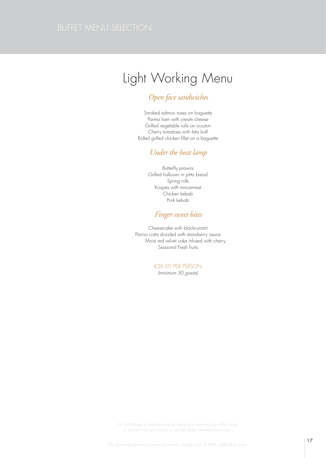# Light Working Menu

# *Open face sandwiches*

Smoked salmon roses on baguette Parma ham with cream cheese Grilled vegetable rolls on crouton Cherry tomatoes with feta ball Rolled grilled chicken fillet on a baguette

# *Under the heat lamp*

Butterfly prawns Grilled halloumi in pitta bread Spring rolls Koupes with mincemeat Chicken kebab Pork kebab

# *Finger sweet bites*

Cheesecake with blackcurrant Panna cotta drizzled with strawberry sauce Moist red velvet cake infused with cherry Seasonal Fresh fruits

€26.00 PER PERSON

*(minimum 50 guests)*

For food allergen or intolerance advice, please let us know and we will be happy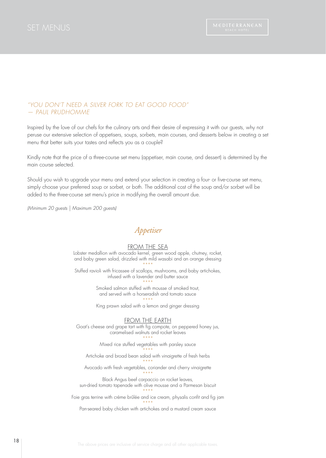### *"YOU DON'T NEED A SILVER FORK TO EAT GOOD FOOD" — PAUL PRUDHOMME*

Inspired by the love of our chefs for the culinary arts and their desire of expressing it with our guests, why not peruse our extensive selection of appetisers, soups, sorbets, main courses, and desserts below in creating a set menu that better suits your tastes and reflects you as a couple?

Kindly note that the price of a three-course set menu (appetiser, main course, and dessert) is determined by the main course selected.

Should you wish to upgrade your menu and extend your selection in creating a four- or five-course set menu, simply choose your preferred soup or sorbet, or both. The additional cost of the soup and/or sorbet will be added to the three-course set menu's price in modifying the overall amount due.

*(Minimum 20 guests | Maximum 200 guests)*

*Appetiser*

#### FROM THE SEA

Lobster medallion with avocado kernel, green wood apple, chutney, rocket, and baby green salad, drizzled with mild wasabi and an orange dressing \*\*\*\*

Stuffed ravioli with fricassee of scallops, mushrooms, and baby artichokes, infused with a lavender and butter sauce

> \*\*\*\* Smoked salmon stuffed with mousse of smoked trout, and served with a horseradish and tomato sauce \*\*\*\*

> King prawn salad with a lemon and ginger dressing

#### FROM THE EARTH

Goat's cheese and grape tart with fig compote, on peppered honey jus, caramelised walnuts and rocket leaves

> \*\*\*\* Mixed rice stuffed vegetables with parsley sauce

\*\*\*\* Artichoke and broad bean salad with vinaigrette of fresh herbs

\*\*\*\* Avocado with fresh vegetables, coriander and cherry vinaigrette \*\*\*\*

Black Angus beef carpaccio on rocket leaves, sun-dried tomato tapenade with olive mousse and a Parmesan biscuit \*\*\*\*

Foie gras terrine with crème brûlée and ice cream, physalis confit and fig jam

\*\*\*\* Pan-seared baby chicken with artichokes and a mustard cream sauce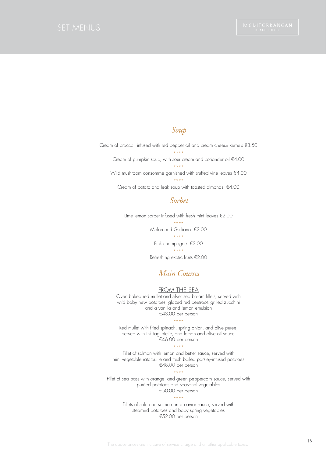# *Soup*

Cream of broccoli infused with red pepper oil and cream cheese kernels €3.50 \*\*\*\*

Cream of pumpkin soup, with sour cream and coriander oil €4.00 \*\*\*\*

Wild mushroom consommé garnished with stuffed vine leaves €4.00 \*\*\*\*

Cream of potato and leak soup with toasted almonds €4.00

# *Sorbet*

Lime lemon sorbet infused with fresh mint leaves €2.00 \*\*\*\*

> Melon and Galliano €2.00 \*\*\*\* Pink champagne €2.00 \*\*\*\*

> Refreshing exotic fruits €2.00

# *Main Courses*

#### FROM THE SEA

Oven baked red mullet and silver sea bream fillets, served with wild baby new potatoes, glazed red beetroot, grilled zucchini and a vanilla and lemon emulsion €43.00 per person

#### \*\*\*\*

Red mullet with fried spinach, spring onion, and olive puree, served with ink tagliatelle, and lemon and olive oil sauce €46.00 per person

#### \*\*\*\*

Fillet of salmon with lemon and butter sauce, served with mini vegetable ratatouille and fresh boiled parsley-infused potatoes €48.00 per person

Fillet of sea bass with orange, and green peppercorn sauce, served with puréed potatoes and seasonal vegetables €50.00 per person

\*\*\*\*

#### \*\*\*\*

Fillets of sole and salmon on a caviar sauce, served with steamed potatoes and baby spring vegetables €52.00 per person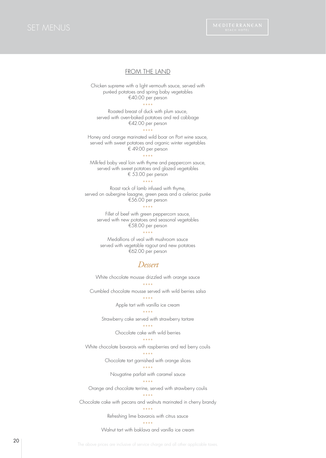#### FROM THE LAND

Chicken supreme with a light vermouth sauce, served with puréed potatoes and spring baby vegetables €40.00 per person

#### \*\*\*\*

Roasted breast of duck with plum sauce, served with oven-baked potatoes and red cabbage €42.00 per person

#### \*\*\*\*

Honey and orange marinated wild boar on Port wine sauce, served with sweet potatoes and organic winter vegetables € 49.00 per person

\*\*\*\*

Milk-fed baby veal loin with thyme and peppercorn sauce, served with sweet potatoes and glazed vegetables € 53.00 per person

#### \*\*\*\*

Roast rack of lamb infused with thyme, served on aubergine lasagne, green peas and a celeriac purée €56.00 per person

\*\*\*\*

Fillet of beef with green peppercorn sauce, served with new potatoes and seasonal vegetables €58.00 per person

\*\*\*\*

Medallions of veal with mushroom sauce served with vegetable ragout and new potatoes €62.00 per person

#### *Dessert*

White chocolate mousse drizzled with orange sauce

\*\*\*\*

Crumbled chocolate mousse served with wild berries salsa \*\*\*\*

Apple tart with vanilla ice cream

#### \*\*\*\*

Strawberry cake served with strawberry tartare \*\*\*\*

Chocolate cake with wild berries

#### \*\*\*\*

White chocolate bavarois with raspberries and red berry coulis

#### \*\*\*\*

Chocolate tart garnished with orange slices

#### \*\*\*\*

Nougatine parfait with caramel sauce

#### \*\*\*\*

Orange and chocolate terrine, served with strawberry coulis

#### \*\*\*\*

Chocolate cake with pecans and walnuts marinated in cherry brandy

#### \*\*\*\*

Refreshing lime bavarois with citrus sauce \*\*\*\*

#### Walnut tart with baklava and vanilla ice cream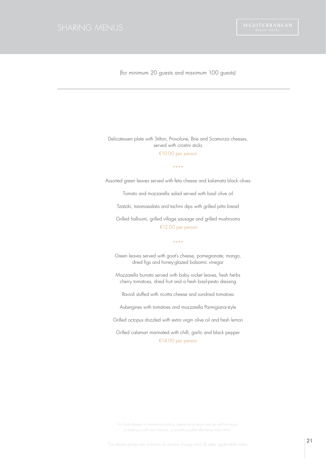#### (for minimum 20 guests and maximum 100 guests)

Delicatessen plate with Stilton, Provolone, Brie and Scamorza cheeses, served with crostini sticks €10.00 per person

\*\*\*\*

Assorted green leaves served with feta cheese and kalamata black olives

Tomato and mozzarella salad served with basil olive oil

Tzatziki, taramasalata and tachini dips with grilled pitta bread

Grilled halloumi, grilled village sausage and grilled mushrooms €12.00 per person

\*\*\*\*

Green leaves served with goat's cheese, pomegranate, mango, dried figs and honey-glazed balsamic vinegar

Mozzarella burrata served with baby rocket leaves, fresh herbs cherry tomatoes, dried fruit and a fresh basil-pesto dressing

Ravioli stuffed with ricotta cheese and sundried tomatoes

Aubergines with tomatoes and mozzarella Parmigiana-style

Grilled octopus drizzled with extra virgin olive oil and fresh lemon

Grilled calamari marinated with chilli, garlic and black pepper €14.00 per person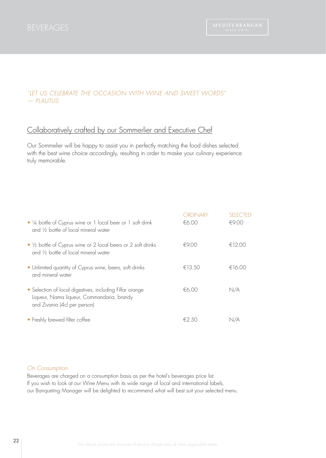# *"LET US CELEBRATE THE OCCASION WITH WINE AND SWEET WORDS" — PLAUTUS*

# Collaboratively crafted by our Sommerlier and Executive Chef

Our Sommelier will be happy to assist you in perfectly matching the food dishes selected with the best wine choice accordingly, resulting in order to maske your culinary experience truly memorable.

| • 1/4 bottle of Cyprus wine or 1 local beer or 1 soft drink<br>and 1/2 bottle of local mineral water                                   | ORDINARY<br>€6.00 | SEIECTED<br>€9.00 |
|----------------------------------------------------------------------------------------------------------------------------------------|-------------------|-------------------|
| • 1/2 bottle of Cyprus wine or 2 local beers or 2 soft drinks<br>and 1/2 bottle of local mineral water                                 | €9.00             | €12.00            |
| • Unlimited quantity of Cyprus wine, beers, soft drinks<br>and mineral water                                                           | €13.50            | €16.00            |
| • Selection of local digestives, including Filfar orange<br>Liqueur, Nama liqueur, Commandaria, brandy<br>and Zivania (4cl per person) | €6.00             | N/A               |
| • Freshly brewed filter coffee                                                                                                         | $\in$ 2.50        | N/A               |

### *On Consumption*

Beverages are charged on a consumption basis as per the hotel's beverages price list. If you wish to look at our Wine Menu with its wide range of local and international labels, our Banqueting Manager will be delighted to recommend what will best suit your selected menu.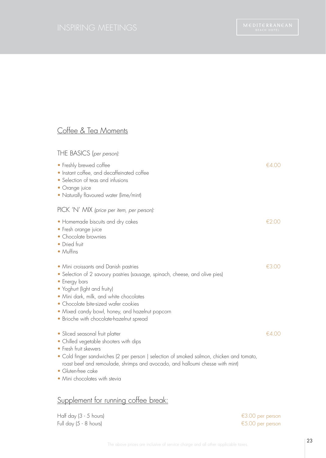# Coffee & Tea Moments

| THE BASICS (per person):                                                                                                                                                                                                                                                                                                                                 |       |
|----------------------------------------------------------------------------------------------------------------------------------------------------------------------------------------------------------------------------------------------------------------------------------------------------------------------------------------------------------|-------|
| • Freshly brewed coffee<br>· Instant coffee, and decaffeinated coffee<br>• Selection of teas and infusions<br>• Orange juice<br>• Naturally flavoured water (lime/mint)                                                                                                                                                                                  | €4.00 |
| PICK 'N' MIX (price per item, per person):                                                                                                                                                                                                                                                                                                               |       |
| • Homemade biscuits and dry cakes<br>• Fresh orange juice<br>• Chocolate brownies<br>• Dried fruit<br>• Muffins                                                                                                                                                                                                                                          | €2.00 |
| • Mini croissants and Danish pastries<br>• Selection of 2 savoury pastries (sausage, spinach, cheese, and olive pies)<br>• Energy bars<br>• Yoghurt (light and fruity)<br>• Mini dark, milk, and white chocolates<br>• Chocolate bite-sized wafer cookies<br>• Mixed candy bowl, honey, and hazelnut popcorn<br>• Brioche with chocolate-hazelnut spread | €3.00 |
| • Sliced seasonal fruit platter<br>• Chilled vegetable shooters with dips<br>• Fresh fruit skewers<br>• Cold finger sandwiches (2 per person   selection of smoked salmon, chicken and tomato,<br>roast beef and remoulade, shrimps and avocado, and halloumi chesse with mint)<br>• Gluten-free cake<br>• Mini chocolates with stevia                   | €4.00 |

# Supplement for running coffee break:

Half day (3 - 5 hours)  $63.00$  per person Full day  $(5 - 8 \text{ hours})$   $\epsilon$  5.00 per person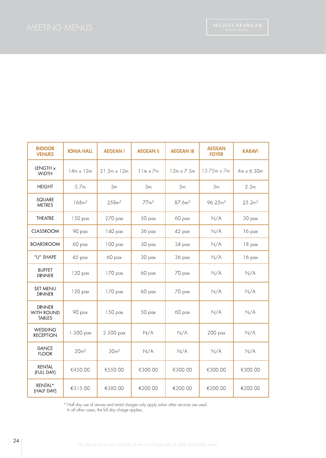| <b>INDOOR</b><br><b>VENUES</b>                      | <b>IONIA HALL</b> | <b>AEGEAN</b> I    | <b>AEGEAN II</b> | <b>AEGEAN III</b>  | <b>AEGEAN</b><br><b>FOYER</b> | <b>KARAVI</b>      |
|-----------------------------------------------------|-------------------|--------------------|------------------|--------------------|-------------------------------|--------------------|
| LENGTH x<br><b>WIDTH</b>                            | $14m \times 12m$  | $21.5m \times 12m$ | $1 \ln x$ $7m$   | $12m \times 7.3m$  | 13.75m x 7m                   | $4m \times 6.30m$  |
| <b>HEIGHT</b>                                       | 5.7m              | 3m                 | 3m               | 3m                 | 3m                            | 2.5m               |
| SQUARE<br><b>METRES</b>                             | 168m <sup>2</sup> | 258m <sup>2</sup>  | 77m <sup>2</sup> | 87.6m <sup>2</sup> | 96.25m <sup>2</sup>           | 25.2m <sup>2</sup> |
| <b>THEATRE</b>                                      | $150$ pax         | $270$ pax          | 50 pax           | 60 pax             | N/A                           | 30 pax             |
| <b>CLASSROOM</b>                                    | 90 pax            | $140 \text{ pax}$  | 36 pax           | 42 pax             | N/A                           | 16 pax             |
| <b>BOARDROOM</b>                                    | 60 pax            | $100$ pax          | 30 pax           | 34 pax             | N/A                           | 18 pax             |
| "U" SHAPE                                           | 45 pax            | $60$ pax           | 30 pax           | 36 pax             | N/A                           | 16 pax             |
| <b>BUFFET</b><br><b>DINNER</b>                      | $120$ pax         | $170$ pax          | 60 pax           | 70 pax             | N/A                           | N/A                |
| <b>SET MENU</b><br><b>DINNER</b>                    | $120$ pax         | 170 pax            | 60 pax           | 70 pax             | N/A                           | N/A                |
| <b>DINNER</b><br><b>WITH ROUND</b><br><b>TABLES</b> | 90 pax            | $150$ pax          | 50 pax           | $60$ pax           | N/A                           | N/A                |
| <b>WEDDING</b><br><b>RECEPTION</b>                  | 1.500 pax         | 2.500 pax          | N/A              | N/A                | 200 pax                       | N/A                |
| <b>DANCE</b><br><b>FLOOR</b>                        | 20 <sup>m²</sup>  | 30 <sub>m²</sub>   | N/A              | N/A                | N/A                           | N/A                |
| <b>RENTAL</b><br>(FULL DAY)                         | €450.00           | €550.00            | €300.00          | €300.00            | €300.00                       | €300.00            |
| RENTAL*<br>(HALF DAY)                               | €315.00           | €380.00            | €200.00          | €200.00            | €200.00                       | €200.00            |

\* Half day use of venues and rental charges only apply when other services are used.

In all other cases, the full day charge applies.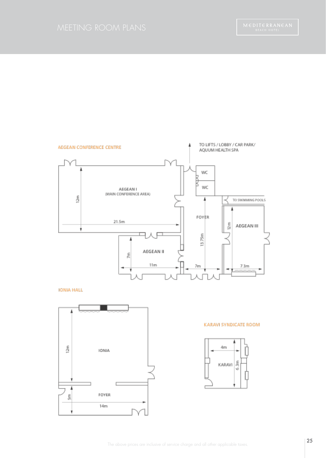

**IONIA HALL** 





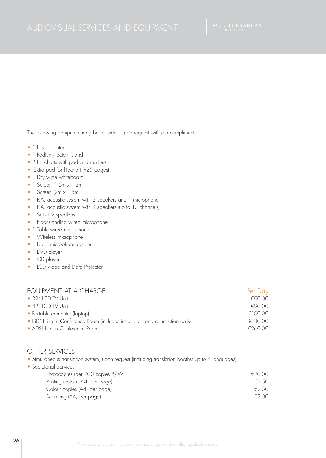The following equipment may be provided upon request with our compliments:

- 1 Laser pointer
- 1 Podium/lectern stand
- 2 Flipcharts with pad and markers
- Extra pad for flipchart (x25 pages)
- 1 Dry wipe whiteboard
- 1 Screen (1.5m x 1.2m)
- 1 Screen (2m x 1.5m)
- 1 P.A. acoustic system with 2 speakers and 1 microphone
- 1 P.A. acoustic system with 4 speakers (up to 12 channels)
- 1 Set of 2 speakers
- 1 Floor-standing wired microphone
- 1 Table-wired microphone
- 1 Wireless microphone
- 1 Lapel microphone system
- 1 DVD player
- 1 CD player
- 1 LCD Video and Data Projector

#### EQUIPMENT AT A CHARGE • 32" LCD TV Unit • 42" LCD TV Unit • Portable computer (laptop) • ISDN line in Conference Room (includes installation and connection calls) • ADSL line in Conference Room Per Day €90.00 €90.00 €100.00 €180.00 €260.00

#### **OTHER SERVICES**

- Simultaneous translation system, upon request (including translation booths; up to 4 languages)
- Secretarial Services

| £2000  |
|--------|
| £2.50  |
| €2.50  |
| $f$ 00 |
|        |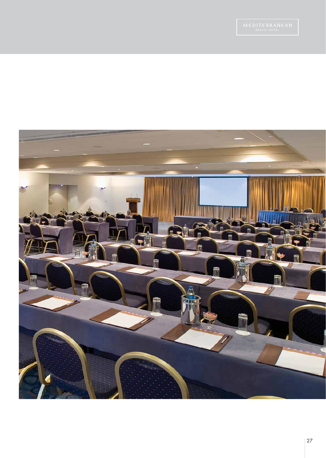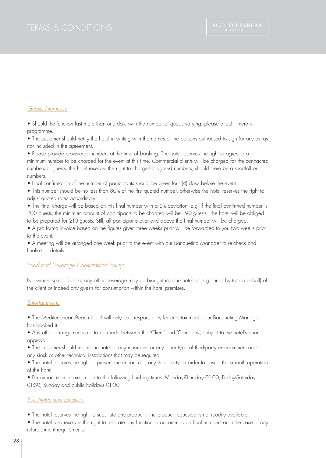#### *Guests Numbers:*

• Should the function last more than one day, with the number of guests varying, please attach itinerary programme.

• The customer should notify the hotel in writing with the names of the persons authorised to sign for any extras not included in the agreement.

• Please provide provisional numbers at the time of booking. The hotel reserves the right to agree to a minimum number to be charged for the event at this time. Commercial clients will be charged for the contracted numbers of guests; the hotel reserves the right to charge for agreed numbers, should there be a shortfall on numbers.

• Final confirmation of the number of participants should be given four (4) days before the event.

• This number should be no less than 80% of the first quoted number, otherwise the hotel reserves the right to adjust quoted rates accordingly.

• The final charge will be based on this final number with a 5% deviation: e.g. if the final confirmed number is 200 guests, the minimum amount of participants to be charged will be 190 guests. The hotel will be obliged to be prepared for 210 guests. Still, all participants over and above the final number will be charged.

• A pro forma invoice based on the figures given three weeks prior will be forwarded to you two weeks prior to the event.

• A meeting will be arranged one week prior to the event with our Banqueting Manager to re-check and finalise all details.

#### *Food and Beverage Consumption Policy:*

No wines, spirits, food or any other beverage may be brought into the hotel or its grounds by (or on behalf) of the client or indeed any guests for consumption within the hotel premises.

#### *Entertainment:*

• The Mediterranean Beach Hotel will only take responsibility for entertainment if our Banqueting Manager has booked it.

• Any other arrangements are to be made between the 'Client' and 'Company', subject to the hotel's prior approval.

• The customer should inform the hotel of any musicians or any other type of third-party entertainment and for any kiosk or other technical installations that may be required.

• The hotel reserves the right to prevent the entrance to any third party, in order to ensure the smooth operation of the hotel.

• Performance times are limited to the following finishing times: Monday-Thursday 01:00, Friday-Saturday 01:30, Sunday and public holidays 01:00.

#### *Substitutes and Location:*

• The hotel reserves the right to substitute any product if the product requested is not readily available.

• The hotel also reserves the right to relocate any function to accommodate final numbers or in the case of any refurbishment requirements.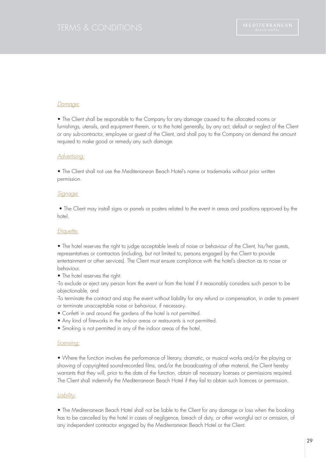#### *Damage:*

• The Client shall be responsible to the Company for any damage caused to the allocated rooms or furnishings, utensils, and equipment therein, or to the hotel generally, by any act, default or neglect of the Client or any sub-contractor, employee or guest of the Client, and shall pay to the Company on demand the amount required to make good or remedy any such damage.

#### *Advertising:*

• The Client shall not use the Mediterranean Beach Hotel's name or trademarks without prior written permission.

#### *Signage:*

 • The Client may install signs or panels or posters related to the event in areas and positions approved by the hotel.

#### *Etiquette:*

• The hotel reserves the right to judge acceptable levels of noise or behaviour of the Client, his/her guests, representatives or contractors (including, but not limited to, persons engaged by the Client to provide entertainment or other services). The Client must ensure compliance with the hotel's direction as to noise or behaviour.

• The hotel reserves the right:

-To exclude or eject any person from the event or from the hotel if it reasonably considers such person to be objectionable, and

-To terminate the contract and stop the event without liability for any refund or compensation, in order to prevent or terminate unacceptable noise or behaviour, if necessary.

- Confetti in and around the gardens of the hotel is not permitted.
- Any kind of fireworks in the indoor areas or restaurants is not permitted.
- Smoking is not permitted in any of the indoor areas of the hotel.

#### *Licensing:*

• Where the function involves the performance of literary, dramatic, or musical works and/or the playing or showing of copyrighted sound-recorded films, and/or the broadcasting of other material, the Client hereby warrants that they will, prior to the date of the function, obtain all necessary licenses or permissions required. The Client shall indemnify the Mediterranean Beach Hotel if they fail to obtain such licences or permission.

#### *Liability:*

• The Mediterranean Beach Hotel shall not be liable to the Client for any damage or loss when the booking has to be cancelled by the hotel in cases of negligence, breach of duty, or other wrongful act or omission, of any independent contractor engaged by the Mediterranean Beach Hotel or the Client.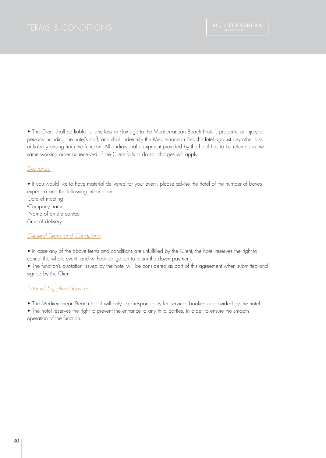• The Client shall be liable for any loss or damage to the Mediterranean Beach Hotel's property, or injury to persons including the hotel's staff, and shall indemnify the Mediterranean Beach Hotel against any other loss or liability arising from the function. All audio-visual equipment provided by the hotel has to be returned in the same working order as received. If the Client fails to do so, charges will apply.

#### *Deliveries:*

• If you would like to have material delivered for your event, please advise the hotel of the number of boxes expected and the following information:

-Date of meeting -Company name -Name of on-site contact -Time of delivery

#### *General Terms and Conditions:*

• In case any of the above terms and conditions are unfulfilled by the Client, the hotel reserves the right to cancel the whole event, and without obligation to return the down payment.

• The function's quotation issued by the hotel will be considered as part of this agreement when submitted and signed by the Client.

#### *External Supplies/Services:*

• The Mediterranean Beach Hotel will only take responsibility for services booked or provided by the hotel.

• The hotel reserves the right to prevent the entrance to any third parties, in order to ensure the smooth operation of the function.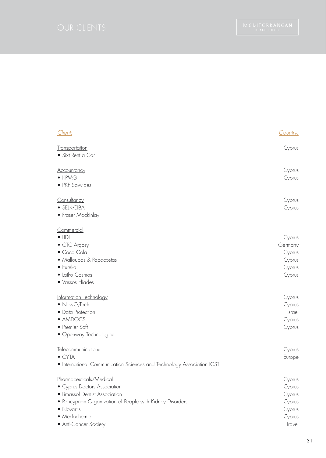| Client:                                                                | Country: |
|------------------------------------------------------------------------|----------|
| <b>Transportation</b>                                                  | Cyprus   |
| • Sixt Rent a Car                                                      |          |
| <b>Accountancy</b>                                                     | Cyprus   |
| $\bullet$ KPMG                                                         | Cyprus   |
| • PKF Savvides                                                         |          |
| Consultancy                                                            | Cyprus   |
| • SELK-CIBA                                                            | Cyprus   |
| • Fraser Mackinlay                                                     |          |
| Commercial                                                             |          |
| $\bullet$ LIDL                                                         | Cyprus   |
| • CTC Argosy                                                           | Germany  |
| • Coca Cola                                                            | Cyprus   |
| • Malloupas & Papacostas                                               | Cyprus   |
| $\bullet$ Eureka                                                       | Cyprus   |
| · Laiko Cosmos                                                         | Cyprus   |
| • Vassos Eliades                                                       |          |
| Information Technology                                                 | Cyprus   |
| • NewCyTech                                                            | Cyprus   |
| • Data Protection                                                      | Israel   |
| • AMDOCS                                                               | Cyprus   |
| • Premier Soft                                                         | Cyprus   |
| • Openway Technologies                                                 |          |
| Telecommunications                                                     | Cyprus   |
| $\bullet$ CYTA                                                         | Europe   |
| • International Communication Sciences and Technology Association ICST |          |
| Pharmaceuticals/Medical                                                | Cyprus   |
| • Cyprus Doctors Association                                           | Cyprus   |
| • Limassol Dentist Association                                         | Cyprus   |
| • Pancyprian Organization of People with Kidney Disorders              | Cyprus   |
| • Novartis                                                             | Cyprus   |
| · Medochemie                                                           | Cyprus   |
| • Anti-Cancer Society                                                  | Travel   |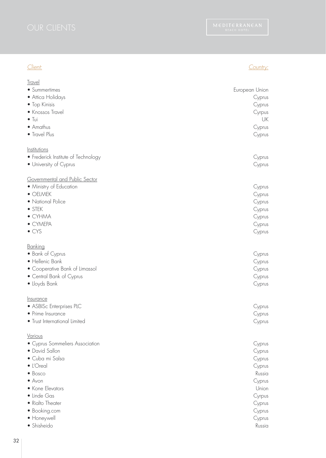# *Client:*

| <b>Travel</b>                       |                |
|-------------------------------------|----------------|
| • Summertimes                       | European Union |
| • Attica Holidays                   | Cyprus         |
| • Top Kinisis                       | Cyprus         |
| • Knossos Travel                    | Cyrpus         |
| $\bullet$ Tui                       | UK             |
| • Amathus                           | Cyprus         |
| • Travel Plus                       | Cyprus         |
|                                     |                |
| Institutions                        |                |
| • Frederick Institute of Technology | Cyprus         |
| • University of Cyprus              | Cyprus         |
| Governmental and Public Sector      |                |
| • Ministry of Education             | Cyprus         |
| $\bullet$ OELMEK                    | Cyprus         |
| • National Police                   | Cyprus         |
| $\bullet$ STEK                      | Cyprus         |
| $\bullet$ CYHMA                     | Cyprus         |
| • CYMEPA                            | Cyprus         |
| $\bullet$ CYS                       | Cyprus         |
| Banking                             |                |
| • Bank of Cyprus                    | Cyprus         |
| • Hellenic Bank                     | Cyprus         |
| • Cooperative Bank of Limassol      | Cyprus         |
| • Central Bank of Cyprus            | Cyprus         |
| • Lloyds Bank                       | Cyprus         |
| <i><u><b>Insurance</b></u></i>      |                |
| • ASBISc Enterprises PLC            | Cyprus         |
| • Prime Insurance                   | Cyprus         |
| • Trust International Limited       | Cyprus         |
| <b>Various</b>                      |                |
| • Cyprus Sommeliers Association     | Cyprus         |
| · David Sallon                      | Cyprus         |
| · Cuba mi Salsa                     | Cyprus         |
| $\bullet$ L'Oreal                   | Cyprus         |
| $\bullet$ Bosco                     | Russia         |
| $\bullet$ Avon                      | Cyprus         |
| • Kone Elevators                    | Union          |
| • Linde Gas                         | Cyrpus         |
| • Rialto Theater                    | Cyprus         |
| • Booking.com                       | Cyprus         |
| • Honeywell                         | Cyprus         |
| · Shisheido                         | Russia         |